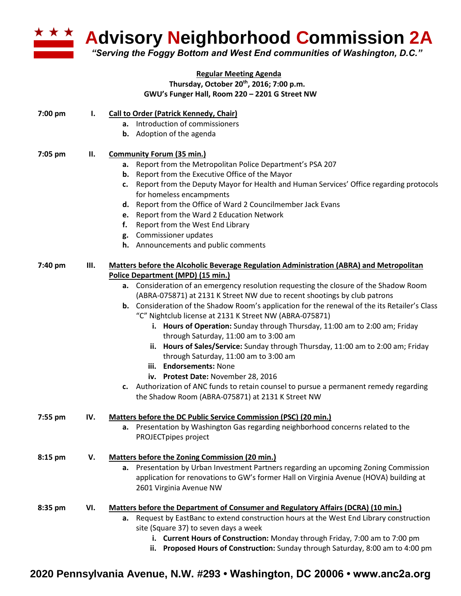

**Advisory Neighborhood Commission 2A** 

*"Serving the Foggy Bottom and West End communities of Washington, D.C."*

## **Regular Meeting Agenda Thursday, October 20th , 2016; 7:00 p.m. GWU's Funger Hall, Room 220 – 2201 G Street NW**

| Introduction of commissioners<br>а.<br><b>b.</b> Adoption of the agenda<br><b>Community Forum (35 min.)</b><br>7:05 pm<br>Н.<br>Report from the Metropolitan Police Department's PSA 207<br>а.<br>Report from the Executive Office of the Mayor<br>b. | 7:00 pm |    |                                                                                                      |
|-------------------------------------------------------------------------------------------------------------------------------------------------------------------------------------------------------------------------------------------------------|---------|----|------------------------------------------------------------------------------------------------------|
|                                                                                                                                                                                                                                                       |         | I. | <b>Call to Order (Patrick Kennedy, Chair)</b>                                                        |
|                                                                                                                                                                                                                                                       |         |    |                                                                                                      |
|                                                                                                                                                                                                                                                       |         |    |                                                                                                      |
|                                                                                                                                                                                                                                                       |         |    |                                                                                                      |
|                                                                                                                                                                                                                                                       |         |    |                                                                                                      |
|                                                                                                                                                                                                                                                       |         |    |                                                                                                      |
|                                                                                                                                                                                                                                                       |         |    | Report from the Deputy Mayor for Health and Human Services' Office regarding protocols<br>c.         |
| for homeless encampments                                                                                                                                                                                                                              |         |    |                                                                                                      |
| d. Report from the Office of Ward 2 Councilmember Jack Evans                                                                                                                                                                                          |         |    |                                                                                                      |
| Report from the Ward 2 Education Network<br>e.                                                                                                                                                                                                        |         |    |                                                                                                      |
| Report from the West End Library<br>f.                                                                                                                                                                                                                |         |    |                                                                                                      |
| g. Commissioner updates                                                                                                                                                                                                                               |         |    |                                                                                                      |
| h. Announcements and public comments                                                                                                                                                                                                                  |         |    |                                                                                                      |
|                                                                                                                                                                                                                                                       |         |    |                                                                                                      |
| 7:40 pm<br>Ш.<br><b>Matters before the Alcoholic Beverage Regulation Administration (ABRA) and Metropolitan</b>                                                                                                                                       |         |    |                                                                                                      |
| Police Department (MPD) (15 min.)                                                                                                                                                                                                                     |         |    |                                                                                                      |
| a. Consideration of an emergency resolution requesting the closure of the Shadow Room                                                                                                                                                                 |         |    |                                                                                                      |
| (ABRA-075871) at 2131 K Street NW due to recent shootings by club patrons                                                                                                                                                                             |         |    |                                                                                                      |
|                                                                                                                                                                                                                                                       |         |    | <b>b.</b> Consideration of the Shadow Room's application for the renewal of the its Retailer's Class |
| "C" Nightclub license at 2131 K Street NW (ABRA-075871)                                                                                                                                                                                               |         |    |                                                                                                      |
| i. Hours of Operation: Sunday through Thursday, 11:00 am to 2:00 am; Friday                                                                                                                                                                           |         |    |                                                                                                      |
| through Saturday, 11:00 am to 3:00 am                                                                                                                                                                                                                 |         |    |                                                                                                      |
| ii. Hours of Sales/Service: Sunday through Thursday, 11:00 am to 2:00 am; Friday                                                                                                                                                                      |         |    |                                                                                                      |
| through Saturday, 11:00 am to 3:00 am                                                                                                                                                                                                                 |         |    |                                                                                                      |
| iii. Endorsements: None                                                                                                                                                                                                                               |         |    |                                                                                                      |
| iv. Protest Date: November 28, 2016                                                                                                                                                                                                                   |         |    |                                                                                                      |
| c. Authorization of ANC funds to retain counsel to pursue a permanent remedy regarding                                                                                                                                                                |         |    |                                                                                                      |
| the Shadow Room (ABRA-075871) at 2131 K Street NW                                                                                                                                                                                                     |         |    |                                                                                                      |
| <b>Matters before the DC Public Service Commission (PSC) (20 min.)</b><br>IV.<br>7:55 pm                                                                                                                                                              |         |    |                                                                                                      |
| Presentation by Washington Gas regarding neighborhood concerns related to the<br>а.                                                                                                                                                                   |         |    |                                                                                                      |
| PROJECTpipes project                                                                                                                                                                                                                                  |         |    |                                                                                                      |
|                                                                                                                                                                                                                                                       |         |    |                                                                                                      |
| 8:15 pm<br>V.<br><b>Matters before the Zoning Commission (20 min.)</b>                                                                                                                                                                                |         |    |                                                                                                      |
| a. Presentation by Urban Investment Partners regarding an upcoming Zoning Commission                                                                                                                                                                  |         |    |                                                                                                      |
| application for renovations to GW's former Hall on Virginia Avenue (HOVA) building at                                                                                                                                                                 |         |    |                                                                                                      |
| 2601 Virginia Avenue NW                                                                                                                                                                                                                               |         |    |                                                                                                      |
| VI.<br><b>Matters before the Department of Consumer and Regulatory Affairs (DCRA) (10 min.)</b><br>8:35 pm                                                                                                                                            |         |    |                                                                                                      |
| Request by EastBanc to extend construction hours at the West End Library construction<br>а.                                                                                                                                                           |         |    |                                                                                                      |
| site (Square 37) to seven days a week                                                                                                                                                                                                                 |         |    |                                                                                                      |
| i. Current Hours of Construction: Monday through Friday, 7:00 am to 7:00 pm                                                                                                                                                                           |         |    |                                                                                                      |
| Proposed Hours of Construction: Sunday through Saturday, 8:00 am to 4:00 pm<br>ii.                                                                                                                                                                    |         |    |                                                                                                      |